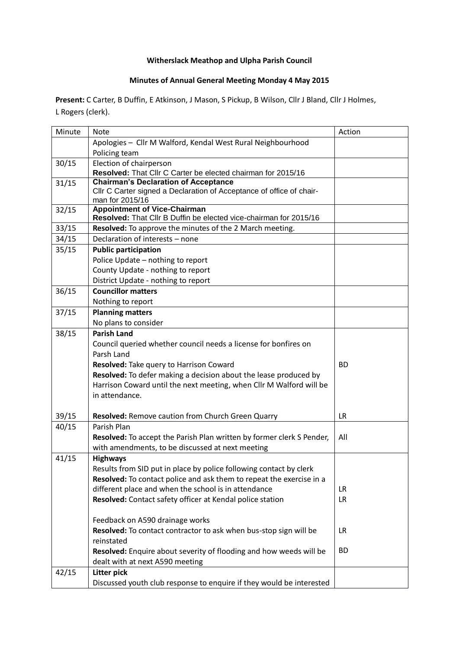## **Witherslack Meathop and Ulpha Parish Council**

## **Minutes of Annual General Meeting Monday 4 May 2015**

**Present:** C Carter, B Duffin, E Atkinson, J Mason, S Pickup, B Wilson, Cllr J Bland, Cllr J Holmes, L Rogers (clerk).

| Minute | <b>Note</b>                                                                             | Action    |
|--------|-----------------------------------------------------------------------------------------|-----------|
|        | Apologies - Cllr M Walford, Kendal West Rural Neighbourhood                             |           |
|        | Policing team                                                                           |           |
| 30/15  | Election of chairperson                                                                 |           |
|        | Resolved: That Cllr C Carter be elected chairman for 2015/16                            |           |
| 31/15  | <b>Chairman's Declaration of Acceptance</b>                                             |           |
|        | Cllr C Carter signed a Declaration of Acceptance of office of chair-<br>man for 2015/16 |           |
| 32/15  | <b>Appointment of Vice-Chairman</b>                                                     |           |
|        | Resolved: That Cllr B Duffin be elected vice-chairman for 2015/16                       |           |
| 33/15  | Resolved: To approve the minutes of the 2 March meeting.                                |           |
| 34/15  | Declaration of interests - none                                                         |           |
| 35/15  | <b>Public participation</b>                                                             |           |
|        | Police Update - nothing to report                                                       |           |
|        | County Update - nothing to report                                                       |           |
|        | District Update - nothing to report                                                     |           |
| 36/15  | <b>Councillor matters</b>                                                               |           |
|        | Nothing to report                                                                       |           |
| 37/15  | <b>Planning matters</b>                                                                 |           |
|        | No plans to consider                                                                    |           |
| 38/15  | <b>Parish Land</b>                                                                      |           |
|        | Council queried whether council needs a license for bonfires on                         |           |
|        | Parsh Land                                                                              |           |
|        | Resolved: Take query to Harrison Coward                                                 | <b>BD</b> |
|        | Resolved: To defer making a decision about the lease produced by                        |           |
|        | Harrison Coward until the next meeting, when Cllr M Walford will be                     |           |
|        | in attendance.                                                                          |           |
|        |                                                                                         |           |
| 39/15  | Resolved: Remove caution from Church Green Quarry                                       | <b>LR</b> |
| 40/15  | Parish Plan                                                                             |           |
|        | Resolved: To accept the Parish Plan written by former clerk S Pender,                   | All       |
|        | with amendments, to be discussed at next meeting                                        |           |
| 41/15  | <b>Highways</b>                                                                         |           |
|        | Results from SID put in place by police following contact by clerk                      |           |
|        | Resolved: To contact police and ask them to repeat the exercise in a                    |           |
|        | different place and when the school is in attendance                                    | <b>LR</b> |
|        | Resolved: Contact safety officer at Kendal police station                               | <b>LR</b> |
|        | Feedback on A590 drainage works                                                         |           |
|        | Resolved: To contact contractor to ask when bus-stop sign will be                       | <b>LR</b> |
|        | reinstated                                                                              |           |
|        | Resolved: Enquire about severity of flooding and how weeds will be                      | <b>BD</b> |
|        | dealt with at next A590 meeting                                                         |           |
| 42/15  | Litter pick                                                                             |           |
|        | Discussed youth club response to enquire if they would be interested                    |           |